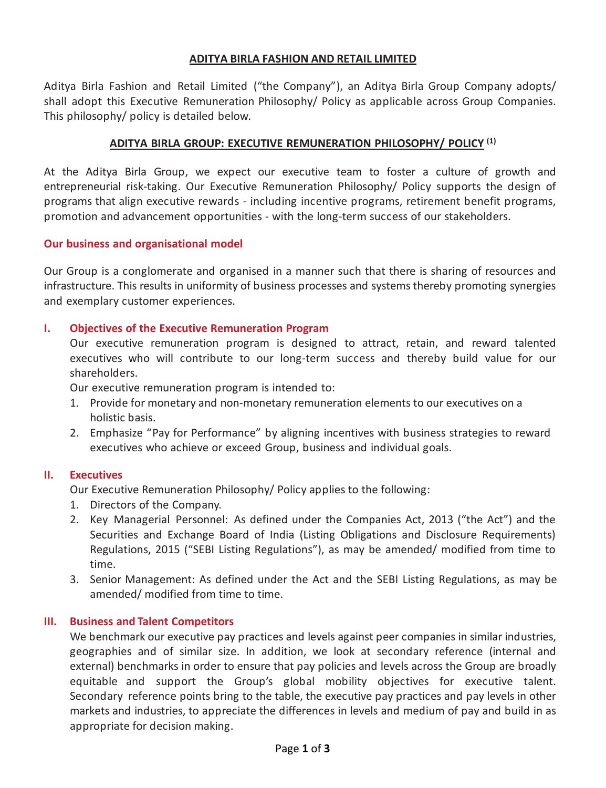## **ADITYA BIRLA FASHION AND RETAIL LIMITED**

Aditya Birla Fashion and Retail Limited ("the Company"), an Aditya Birla Group Company adopts/ shall adopt this Executive Remuneration Philosophy/ Policy as applicable across Group Companies. This philosophy/ policy is detailed below.

# **ADITYA BIRLA GROUP: EXECUTIVE REMUNERATION PHILOSOPHY/ POLICY (1)**

At the Aditya Birla Group, we expect our executive team to foster a culture of growth and entrepreneurial risk-taking. Our Executive Remuneration Philosophy/ Policy supports the design of programs that align executive rewards - including incentive programs, retirement benefit programs, promotion and advancement opportunities - with the long-term success of our stakeholders.

## **Our business and organisational model**

Our Group is a conglomerate and organised in a manner such that there is sharing of resources and infrastructure. This results in uniformity of business processes and systems thereby promoting synergies and exemplary customer experiences.

## **I. Objectives of the Executive Remuneration Program**

Our executive remuneration program is designed to attract, retain, and reward talented executives who will contribute to our long-term success and thereby build value for our shareholders.

Our executive remuneration program is intended to:

- 1. Provide for monetary and non-monetary remuneration elements to our executives on a holistic basis.
- 2. Emphasize "Pay for Performance" by aligning incentives with business strategies to reward executives who achieve or exceed Group, business and individual goals.

# **II. Executives**

Our Executive Remuneration Philosophy/ Policy applies to the following:

- 1. Directors of the Company.
- 2. Key Managerial Personnel: As defined under the Companies Act, 2013 ("the Act") and the Securities and Exchange Board of India (Listing Obligations and Disclosure Requirements) Regulations, 2015 ("SEBI Listing Regulations"), as may be amended/ modified from time to time.
- 3. Senior Management: As defined under the Act and the SEBI Listing Regulations, as may be amended/ modified from time to time.

## **III. Business and Talent Competitors**

We benchmark our executive pay practices and levels against peer companies in similar industries, geographies and of similar size. In addition, we look at secondary reference (internal and external) benchmarks in order to ensure that pay policies and levels across the Group are broadly equitable and support the Group's global mobility objectives for executive talent. Secondary reference points bring to the table, the executive pay practices and pay levels in other markets and industries, to appreciate the differences in levels and medium of pay and build in as appropriate for decision making.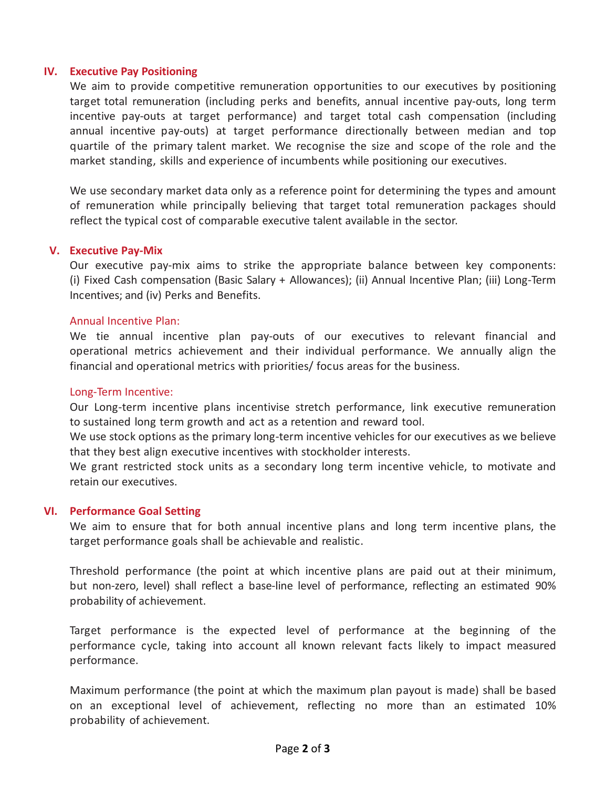## **IV. Executive Pay Positioning**

We aim to provide competitive remuneration opportunities to our executives by positioning target total remuneration (including perks and benefits, annual incentive pay-outs, long term incentive pay-outs at target performance) and target total cash compensation (including annual incentive pay-outs) at target performance directionally between median and top quartile of the primary talent market. We recognise the size and scope of the role and the market standing, skills and experience of incumbents while positioning our executives.

We use secondary market data only as a reference point for determining the types and amount of remuneration while principally believing that target total remuneration packages should reflect the typical cost of comparable executive talent available in the sector.

## **V. Executive Pay-Mix**

Our executive pay-mix aims to strike the appropriate balance between key components: (i) Fixed Cash compensation (Basic Salary + Allowances); (ii) Annual Incentive Plan; (iii) Long-Term Incentives; and (iv) Perks and Benefits.

## Annual Incentive Plan:

We tie annual incentive plan pay-outs of our executives to relevant financial and operational metrics achievement and their individual performance. We annually align the financial and operational metrics with priorities/ focus areas for the business.

#### Long-Term Incentive:

Our Long-term incentive plans incentivise stretch performance, link executive remuneration to sustained long term growth and act as a retention and reward tool.

We use stock options as the primary long-term incentive vehicles for our executives as we believe that they best align executive incentives with stockholder interests.

We grant restricted stock units as a secondary long term incentive vehicle, to motivate and retain our executives.

## **VI. Performance Goal Setting**

We aim to ensure that for both annual incentive plans and long term incentive plans, the target performance goals shall be achievable and realistic.

Threshold performance (the point at which incentive plans are paid out at their minimum, but non-zero, level) shall reflect a base-line level of performance, reflecting an estimated 90% probability of achievement.

Target performance is the expected level of performance at the beginning of the performance cycle, taking into account all known relevant facts likely to impact measured performance.

Maximum performance (the point at which the maximum plan payout is made) shall be based on an exceptional level of achievement, reflecting no more than an estimated 10% probability of achievement.